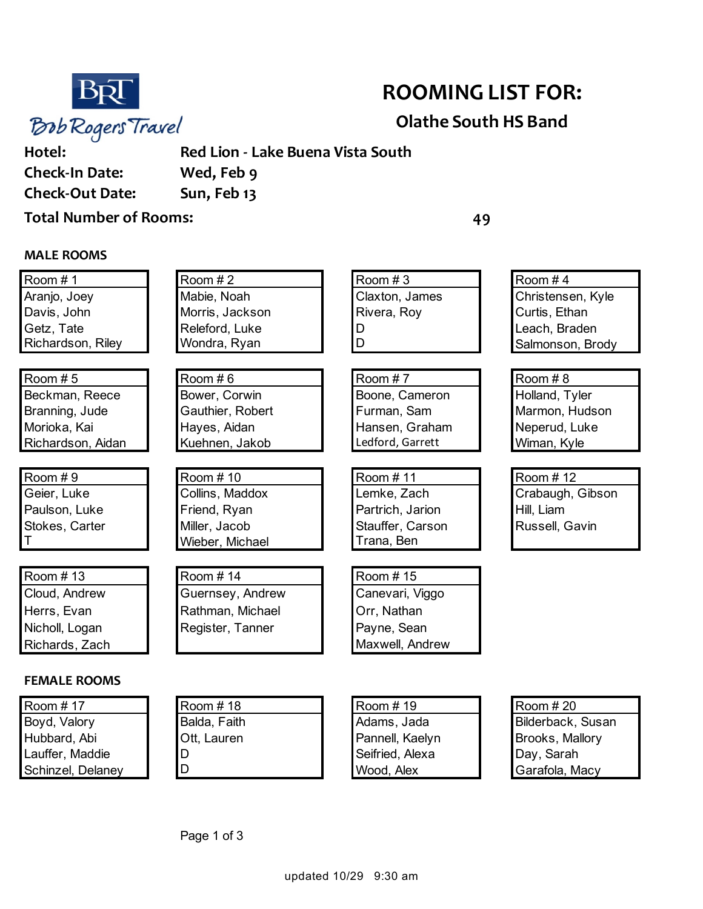

# **ROOMING LIST FOR:**

## **Olathe South HS Band**

**Hotel: Check-In Date: Wed, Feb 9 Check-Out Date: Sun, Feb 13**

**Red Lion - Lake Buena Vista South**

**Total Number of Rooms:**

**49**

#### **MALE ROOMS**

Richards, Zach **Maxwell, Andrew** Maxwell, Andrew

#### **FEMALE ROOMS**

| Room # 17         |
|-------------------|
| Boyd, Valory      |
| Hubbard, Abi      |
| Lauffer, Maddie   |
| Schinzel, Delaney |

Room # 1 Room # 2 Room # 3 Room # 4 Room # 4 Aranjo, Joey **Nabie, Noah | Claxton, James** | Christensen, Kyle Davis, John **Morris, Jackson Rivera, Roy Curtis, Ethan** Getz, Tate **Releford, Luke** D D Leach, Braden Richardson, Riley | Wondra, Ryan | D D | Salmonson, Brody

T **T** Wieber, Michael **Trana**, Ben

Room # 13 Room # 14 Room # 15 Cloud, Andrew **Guernsey, Andrew Cloud, Andrew Canevari, Viggo** Herrs, Evan **Rathman, Michael Company** Orr, Nathan Nicholl, Logan Register, Tanner Payne, Sean

Room # 5 Room # 6 Room # 8 Room # 5 Room # 8 Beckman, Reece Bower, Corwin Boone, Cameron Boone, Cameron Boone, Cameron Boone, Cameron Boone, Real Branning, Jude **Gauthier, Robert Furman, Sam Marmon, Hudson** Morioka, Kai **Hayes, Aidan Hansen, Graham Neperud, Luke** Richardson, Aidan Kuehnen, Jakob Ledford, Garrett Wiman, Kyle

Room # 9 Room # 10 Room # 11 Room # 12 Geier, Luke **Lemke, 2008** Collins, Maddox Lemke, Zach **Lemke, Zach Crabaugh, Gibson** Paulson, Luke **Friend, Ryan Partrich, Jarion** Hill, Liam Stokes, Carter Miller, Jacob Stauffer, Carson Russell, Gavin

Room # 18 | Room # 19 | Room # 20

Balda, Faith **Adams**, Jada **Bilderback, Susan** Ott, Lauren **Pannell, Kaelyn Brooks, Mallory** D **D** Seifried, Alexa **D** Day, Sarah D Nood, Alex Garafola, Macy

Page 1 of 3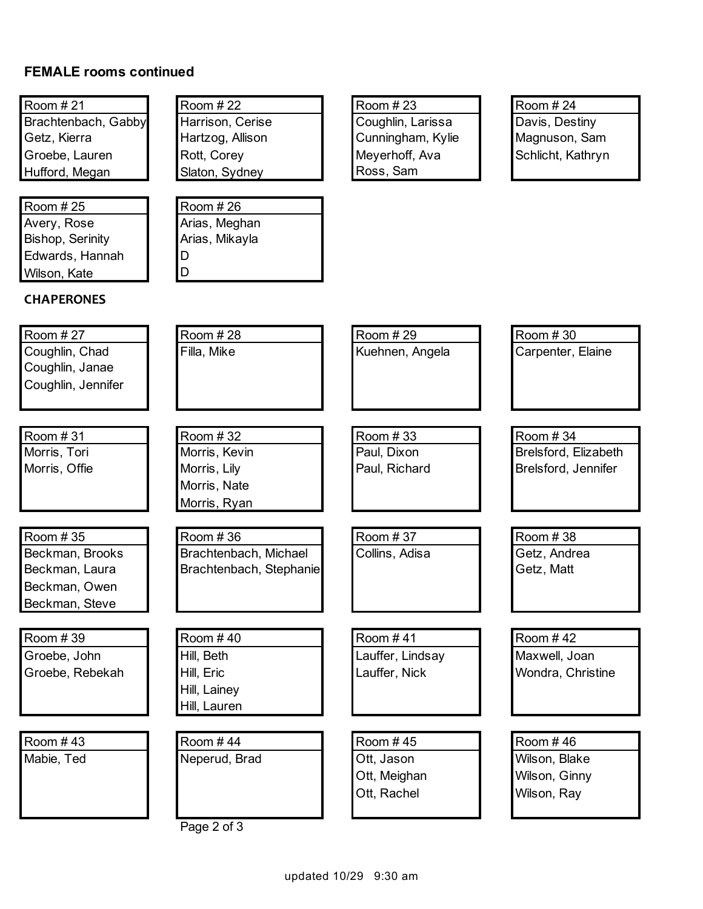### **FEMALE rooms continued**

| Room #21            | Room #22                | Room #23          | Room #24             |
|---------------------|-------------------------|-------------------|----------------------|
| Brachtenbach, Gabby | Harrison, Cerise        | Coughlin, Larissa | Davis, Destiny       |
| Getz, Kierra        | Hartzog, Allison        | Cunningham, Kylie | Magnuson, Sam        |
| Groebe, Lauren      | Rott, Corey             | Meyerhoff, Ava    | Schlicht, Kathryn    |
| Hufford, Megan      | Slaton, Sydney          | Ross, Sam         |                      |
|                     |                         |                   |                      |
| Room #25            | Room #26                |                   |                      |
| Avery, Rose         | Arias, Meghan           |                   |                      |
| Bishop, Serinity    | Arias, Mikayla          |                   |                      |
| Edwards, Hannah     | D                       |                   |                      |
| Wilson, Kate        | D                       |                   |                      |
| <b>CHAPERONES</b>   |                         |                   |                      |
| Room #27            | Room #28                | Room #29          | Room #30             |
| Coughlin, Chad      | Filla, Mike             | Kuehnen, Angela   | Carpenter, Elaine    |
| Coughlin, Janae     |                         |                   |                      |
| Coughlin, Jennifer  |                         |                   |                      |
|                     |                         |                   |                      |
|                     |                         |                   |                      |
| Room #31            | Room #32                | Room #33          | Room #34             |
| Morris, Tori        | Morris, Kevin           | Paul, Dixon       | Brelsford, Elizabeth |
| Morris, Offie       | Morris, Lily            | Paul, Richard     | Brelsford, Jennifer  |
|                     | Morris, Nate            |                   |                      |
|                     | Morris, Ryan            |                   |                      |
|                     |                         |                   |                      |
| Room #35            | Room #36                | Room #37          | Room #38             |
| Beckman, Brooks     | Brachtenbach, Michael   | Collins, Adisa    | Getz, Andrea         |
| Beckman, Laura      | Brachtenbach, Stephanie |                   | Getz, Matt           |
| Beckman, Owen       |                         |                   |                      |
| Beckman, Steve      |                         |                   |                      |
|                     |                         |                   |                      |
| Room #39            | Room #40                | Room # $41$       | Room #42             |
| Groebe, John        | Hill, Beth              | Lauffer, Lindsay  | Maxwell, Joan        |
| Groebe, Rebekah     | Hill, Eric              | Lauffer, Nick     | Wondra, Christine    |
|                     | Hill, Lainey            |                   |                      |
|                     | Hill, Lauren            |                   |                      |
|                     |                         |                   |                      |
| Room #43            | Room #44                | Room #45          | Room #46             |
| Mabie, Ted          | Neperud, Brad           | Ott, Jason        | Wilson, Blake        |
|                     |                         | Ott, Meighan      | Wilson, Ginny        |
|                     |                         | Ott, Rachel       | Wilson, Ray          |
|                     |                         |                   |                      |

Page 2 of 3